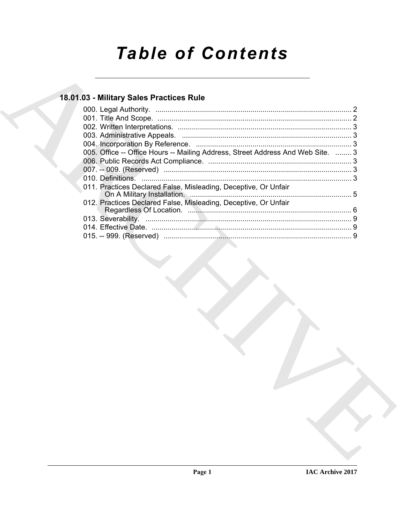# **Table of Contents**

### 18.01.03 - Military Sales Practices Rule

| 005. Office -- Office Hours -- Mailing Address, Street Address And Web Site.  3 |  |
|---------------------------------------------------------------------------------|--|
|                                                                                 |  |
|                                                                                 |  |
|                                                                                 |  |
| 011. Practices Declared False, Misleading, Deceptive, Or Unfair                 |  |
| 012. Practices Declared False, Misleading, Deceptive, Or Unfair                 |  |
|                                                                                 |  |
|                                                                                 |  |
|                                                                                 |  |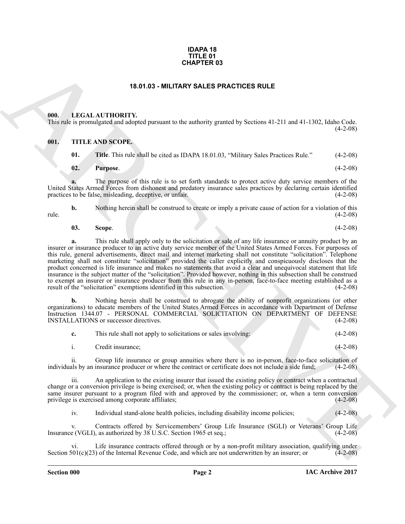#### **IDAPA 18 TITLE 01 CHAPTER 03**

### **18.01.03 - MILITARY SALES PRACTICES RULE**

#### <span id="page-1-1"></span><span id="page-1-0"></span>**000. LEGAL AUTHORITY.**

This rule is promulgated and adopted pursuant to the authority granted by Sections 41-211 and 41-1302, Idaho Code.  $(4-2-08)$ 

### <span id="page-1-2"></span>**001. TITLE AND SCOPE.**

- **01.** Title. This rule shall be cited as IDAPA 18.01.03, "Military Sales Practices Rule." (4-2-08)
- **02. Purpose**. (4-2-08)

**a.** The purpose of this rule is to set forth standards to protect active duty service members of the United States Armed Forces from dishonest and predatory insurance sales practices by declaring certain identified practices to be false, misleading, deceptive, or unfair. (4-2-08)

**b.** Nothing herein shall be construed to create or imply a private cause of action for a violation of this (4-2-08) rule. (4-2-08)

$$
03. Scope. (4-2-08)
$$

ARCHIVE **a.** This rule shall apply only to the solicitation or sale of any life insurance or annuity product by an insurer or insurance producer to an active duty service member of the United States Armed Forces. For purposes of this rule, general advertisements, direct mail and internet marketing shall not constitute "solicitation". Telephone marketing shall not constitute "solicitation" provided the caller explicitly and conspicuously discloses that the product concerned is life insurance and makes no statements that avoid a clear and unequivocal statement that life insurance is the subject matter of the "solicitation". Provided however, nothing in this subsection shall be construed to exempt an insurer or insurance producer from this rule in any in-person, face-to-face meeting established as a result of the "solicitation" exemptions identified in this subsection. (4-2-08)

**b.** Nothing herein shall be construed to abrogate the ability of nonprofit organizations (or other organizations) to educate members of the United States Armed Forces in accordance with Department of Defense Instruction 1344.07 - PERSONAL COMMERCIAL SOLICITATION ON DEPARTMENT OF DEFENSE INSTALLATIONS or successor directives. (4-2-08) INSTALLATIONS or successor directives.

| This rule shall not apply to solicitations or sales involving. | $(4-2-08)$ |
|----------------------------------------------------------------|------------|
|                                                                |            |

i. Credit insurance; (4-2-08)

ii. Group life insurance or group annuities where there is no in-person, face-to-face solicitation of als by an insurance producer or where the contract or certificate does not include a side fund: (4-2-08) individuals by an insurance producer or where the contract or certificate does not include a side fund;

iii. An application to the existing insurer that issued the existing policy or contract when a contractual change or a conversion privilege is being exercised; or, when the existing policy or contract is being replaced by the same insurer pursuant to a program filed with and approved by the commissioner; or, when a term conversion privilege is exercised among corporate affiliates; (4-2-08) privilege is exercised among corporate affiliates;

iv. Individual stand-alone health policies, including disability income policies; (4-2-08)

v. Contracts offered by Servicemembers' Group Life Insurance (SGLI) or Veterans' Group Life e (VGLI), as authorized by 38 U.S.C. Section 1965 et seq.; Insurance (VGLI), as authorized by 38 U.S.C. Section 1965 et seq.;

Life insurance contracts offered through or by a non-profit military association, qualifying under<br>of the Internal Revenue Code, and which are not underwritten by an insurer; or (4-2-08) Section  $501(c)(23)$  of the Internal Revenue Code, and which are not underwritten by an insurer; or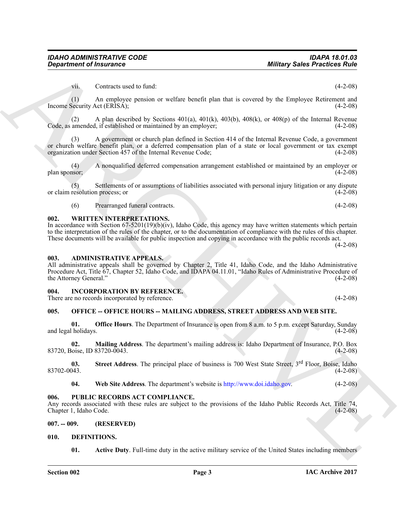vii. Contracts used to fund: (4-2-08)

(1) An employee pension or welfare benefit plan that is covered by the Employee Retirement and Income Security Act (ERISA); (4-2-08)

(2) A plan described by Sections 401(a), 401(k), 403(b), 408(k), or 408(p) of the Internal Revenue amended, if established or maintained by an employer;  $(4-2-08)$ Code, as amended, if established or maintained by an employer;

**Dispartment of Insurance<br>
(a)**<br>
(a) Conducts used it simulates the section of plan line is everywhere. The properties of the section of the section of the section of the section of the section of the section of the secti (3) A government or church plan defined in Section 414 of the Internal Revenue Code, a government or church welfare benefit plan, or a deferred compensation plan of a state or local government or tax exempt organization under Section 457 of the Internal Revenue Code; (4-2-08) organization under Section 457 of the Internal Revenue Code;

(4) A nonqualified deferred compensation arrangement established or maintained by an employer or plan sponsor; (4-2-08)

(5) Settlements of or assumptions of liabilities associated with personal injury litigation or any dispute resolution process; or (4-2-08) or claim resolution process; or

(6) Prearranged funeral contracts. (4-2-08)

### <span id="page-2-0"></span>**002. WRITTEN INTERPRETATIONS.**

In accordance with Section 67-5201(19)(b)(iv), Idaho Code, this agency may have written statements which pertain to the interpretation of the rules of the chapter, or to the documentation of compliance with the rules of this chapter. These documents will be available for public inspection and copying in accordance with the public records act.

 $(4-2-08)$ 

#### <span id="page-2-1"></span>**003. ADMINISTRATIVE APPEALS.**

All administrative appeals shall be governed by Chapter 2, Title 41, Idaho Code, and the Idaho Administrative Procedure Act, Title 67, Chapter 52, Idaho Code, and IDAPA 04.11.01, "Idaho Rules of Administrative Procedure of the Attorney General." (4-2-08) the Attorney General."

### <span id="page-2-2"></span>**004. INCORPORATION BY REFERENCE.**

There are no records incorporated by reference. (4-2-08)

### <span id="page-2-3"></span>**005. OFFICE -- OFFICE HOURS -- MAILING ADDRESS, STREET ADDRESS AND WEB SITE.**

**01. Office Hours**. The Department of Insurance is open from 8 a.m. to 5 p.m. except Saturday, Sunday (4-2-08) and legal holidays.

**02. Mailing Address**. The department's mailing address is: Idaho Department of Insurance, P.O. Box 83720, Boise, ID 83720-0043. (4-2-08)

**03.** Street Address. The principal place of business is 700 West State Street, 3<sup>rd</sup> Floor, Boise, Idaho (4-2-08)  $83702-0043.$  (4-2-08)

**04. Web Site Address**. The department's website is http://www.doi.idaho.gov. (4-2-08)

### <span id="page-2-4"></span>**006. PUBLIC RECORDS ACT COMPLIANCE.**

Any records associated with these rules are subject to the provisions of the Idaho Public Records Act, Title 74, Chapter 1, Idaho Code. (4-2-08) Chapter 1, Idaho Code.

### <span id="page-2-5"></span>**007. -- 009. (RESERVED)**

### <span id="page-2-6"></span>**010. DEFINITIONS.**

<span id="page-2-8"></span><span id="page-2-7"></span>**01.** Active Duty. Full-time duty in the active military service of the United States including members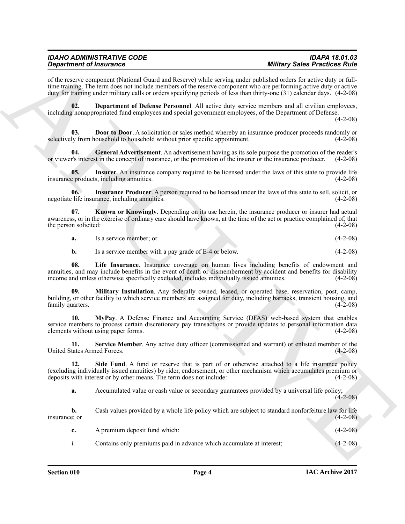of the reserve component (National Guard and Reserve) while serving under published orders for active duty or fulltime training. The term does not include members of the reserve component who are performing active duty or active duty for training under military calls or orders specifying periods of less than thirty-one (31) calendar days. (4-2-08)

<span id="page-3-0"></span>**02. Department of Defense Personnel**. All active duty service members and all civilian employees, including nonappropriated fund employees and special government employees, of the Department of Defense.

 $(4-2-08)$ 

<span id="page-3-1"></span>**03. Door to Door**. A solicitation or sales method whereby an insurance producer proceeds randomly or selectively from household to household without prior specific appointment. (4-2-08)

<span id="page-3-2"></span>**General Advertisement**. An advertisement having as its sole purpose the promotion of the reader's tin the concept of insurance, or the promotion of the insurance producer. (4-2-08) or viewer's interest in the concept of insurance, or the promotion of the insurer or the insurance producer.

<span id="page-3-4"></span>**05.** Insurer. An insurance company required to be licensed under the laws of this state to provide life products, including annuities. (4-2-08) insurance products, including annuities.

<span id="page-3-3"></span>**06. Insurance Producer**. A person required to be licensed under the laws of this state to sell, solicit, or negotiate life insurance, including annuities. (4-2-08)

**07. Known or Knowingly**. Depending on its use herein, the insurance producer or insurer had actual awareness, or in the exercise of ordinary care should have known, at the time of the act or practice complained of, that the person solicited: (4-2-08) the person solicited:

<span id="page-3-5"></span>**a.** Is a service member; or (4-2-08)

<span id="page-3-7"></span><span id="page-3-6"></span>**b.** Is a service member with a pay grade of E-4 or below. (4-2-08)

**08. Life Insurance**. Insurance coverage on human lives including benefits of endowment and annuities, and may include benefits in the event of death or dismemberment by accident and benefits for disability income and unless otherwise specifically excluded, includes individually issued annuities. (4-2-08) income and unless otherwise specifically excluded, includes individually issued annuities.

**09. Military Installation**. Any federally owned, leased, or operated base, reservation, post, camp, building, or other facility to which service members are assigned for duty, including barracks, transient housing, and family quarters. (4-2-08) family quarters.

<span id="page-3-8"></span>**10. MyPay**. A Defense Finance and Accounting Service (DFAS) web-based system that enables service members to process certain discretionary pay transactions or provide updates to personal information data elements without using paper forms. (4-2-08)

<span id="page-3-9"></span>**11. Service Member**. Any active duty officer (commissioned and warrant) or enlisted member of the United States Armed Forces. (4-2-08)

Graduation of Financial Counter (a) distribution of the strengtheorem of the strengtheorem in the strengtheorem of the strengtheorem in the strengtheorem in the strengtheorem in the strengtheorem in the strengtheorem in t 12. Side Fund. A fund or reserve that is part of or otherwise attached to a life insurance policy (excluding individually issued annuities) by rider, endorsement, or other mechanism which accumulates premium or deposits with interest or by other means. The term does not include:

<span id="page-3-10"></span>**a.** Accumulated value or cash value or secondary guarantees provided by a universal life policy;

 $(4-2-08)$ 

**b.** Cash values provided by a whole life policy which are subject to standard nonforfeiture law for life insurance; or (4-2-08)

| A premium deposit fund which:                                        | $(4-2-08)$ |
|----------------------------------------------------------------------|------------|
| Contains only premiums paid in advance which accumulate at interest; | $(4-2-08)$ |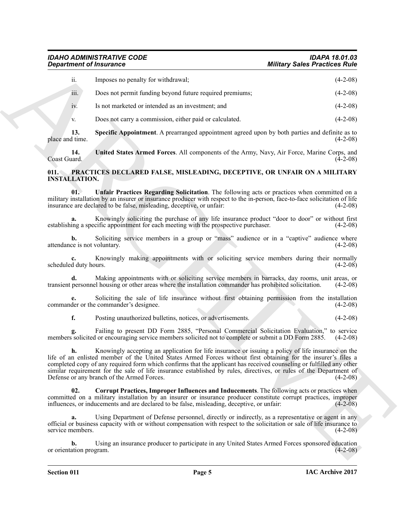| <b>Department of Insurance</b>     |                                                                                                                                                                                                                                                                                                                                                                                                                                                                                                                  | <b>Military Sales Practices Rule</b> |
|------------------------------------|------------------------------------------------------------------------------------------------------------------------------------------------------------------------------------------------------------------------------------------------------------------------------------------------------------------------------------------------------------------------------------------------------------------------------------------------------------------------------------------------------------------|--------------------------------------|
| ii.                                | Imposes no penalty for withdrawal;                                                                                                                                                                                                                                                                                                                                                                                                                                                                               | $(4-2-08)$                           |
| iii.                               | Does not permit funding beyond future required premiums;                                                                                                                                                                                                                                                                                                                                                                                                                                                         | $(4-2-08)$                           |
| 1V.                                | Is not marketed or intended as an investment; and                                                                                                                                                                                                                                                                                                                                                                                                                                                                | $(4-2-08)$                           |
| V.                                 | Does not carry a commission, either paid or calculated.                                                                                                                                                                                                                                                                                                                                                                                                                                                          | $(4-2-08)$                           |
| 13.<br>place and time.             | <b>Specific Appointment</b> . A prearranged appointment agreed upon by both parties and definite as to                                                                                                                                                                                                                                                                                                                                                                                                           | $(4-2-08)$                           |
| 14.<br>Coast Guard.                | United States Armed Forces. All components of the Army, Navy, Air Force, Marine Corps, and                                                                                                                                                                                                                                                                                                                                                                                                                       | $(4-2-08)$                           |
| 011.<br><b>INSTALLATION.</b>       | PRACTICES DECLARED FALSE, MISLEADING, DECEPTIVE, OR UNFAIR ON A MILITARY                                                                                                                                                                                                                                                                                                                                                                                                                                         |                                      |
| 01.                                | Unfair Practices Regarding Solicitation. The following acts or practices when committed on a<br>military installation by an insurer or insurance producer with respect to the in-person, face-to-face solicitation of life<br>insurance are declared to be false, misleading, deceptive, or unfair:                                                                                                                                                                                                              | $(4-2-08)$                           |
| a.                                 | Knowingly soliciting the purchase of any life insurance product "door to door" or without first<br>establishing a specific appointment for each meeting with the prospective purchaser.                                                                                                                                                                                                                                                                                                                          | $(4-2-08)$                           |
| b.<br>attendance is not voluntary. | Soliciting service members in a group or "mass" audience or in a "captive" audience where                                                                                                                                                                                                                                                                                                                                                                                                                        | $(4-2-08)$                           |
| scheduled duty hours.              | Knowingly making appointments with or soliciting service members during their normally                                                                                                                                                                                                                                                                                                                                                                                                                           | $(4-2-08)$                           |
| d.                                 | Making appointments with or soliciting service members in barracks, day rooms, unit areas, or<br>transient personnel housing or other areas where the installation commander has prohibited solicitation.                                                                                                                                                                                                                                                                                                        | $(4-2-08)$                           |
|                                    | Soliciting the sale of life insurance without first obtaining permission from the installation<br>commander or the commander's designee.                                                                                                                                                                                                                                                                                                                                                                         | $(4-2-08)$                           |
| f.                                 | Posting unauthorized bulletins, notices, or advertisements.                                                                                                                                                                                                                                                                                                                                                                                                                                                      | $(4-2-08)$                           |
|                                    | Failing to present DD Form 2885, "Personal Commercial Solicitation Evaluation," to service<br>members solicited or encouraging service members solicited not to complete or submit a DD Form 2885.                                                                                                                                                                                                                                                                                                               | $(4-2-08)$                           |
| h.                                 | Knowingly accepting an application for life insurance or issuing a policy of life insurance on the<br>life of an enlisted member of the United States Armed Forces without first obtaining for the insurer's files a<br>completed copy of any required form which confirms that the applicant has received counseling or fulfilled any other<br>similar requirement for the sale of life insurance established by rules, directives, or rules of the Department of<br>Defense or any branch of the Armed Forces. | $(4-2-08)$                           |
| 02.                                | Corrupt Practices, Improper Influences and Inducements. The following acts or practices when<br>committed on a military installation by an insurer or insurance producer constitute corrupt practices, improper<br>influences, or inducements and are declared to be false, misleading, deceptive, or unfair:                                                                                                                                                                                                    | $(4-2-08)$                           |
| a.<br>service members.             | Using Department of Defense personnel, directly or indirectly, as a representative or agent in any<br>official or business capacity with or without compensation with respect to the solicitation or sale of life insurance to                                                                                                                                                                                                                                                                                   | $(4-2-08)$                           |
| b.<br>or orientation program.      | Using an insurance producer to participate in any United States Armed Forces sponsored education                                                                                                                                                                                                                                                                                                                                                                                                                 | $(4-2-08)$                           |

#### <span id="page-4-5"></span><span id="page-4-4"></span><span id="page-4-3"></span><span id="page-4-2"></span><span id="page-4-1"></span><span id="page-4-0"></span>**011. PRACTICES DECLARED FALSE, MISLEADING, DECEPTIVE, OR UNFAIR ON A MILITARY INSTALLATION.**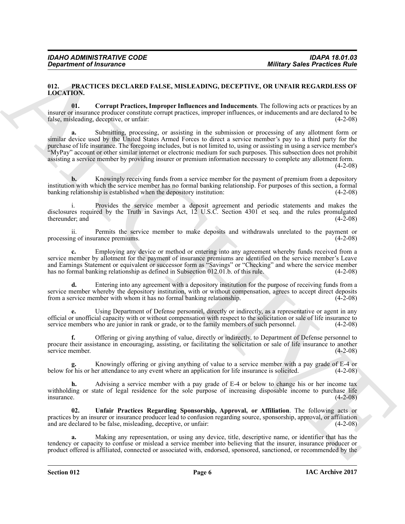#### <span id="page-5-1"></span><span id="page-5-0"></span>**012. PRACTICES DECLARED FALSE, MISLEADING, DECEPTIVE, OR UNFAIR REGARDLESS OF LOCATION.**

<span id="page-5-2"></span>**01. Corrupt Practices, Improper Influences and Inducements**. The following acts or practices by an insurer or insurance producer constitute corrupt practices, improper influences, or inducements and are declared to be false, misleading, deceptive, or unfair:

**Behavior of Insurance Commute Commute Commute Commute Commute Commute Commute Commute Commute Commute Commute Commute Commute Commute Commute Commute Commute Commute Commute Commute Commute Commute Commute Commute Commut a.** Submitting, processing, or assisting in the submission or processing of any allotment form or similar device used by the United States Armed Forces to direct a service member's pay to a third party for the purchase of life insurance. The foregoing includes, but is not limited to, using or assisting in using a service member's "MyPay" account or other similar internet or electronic medium for such purposes. This subsection does not prohibit assisting a service member by providing insurer or premium information necessary to complete any allotment form.

 $(4-2-08)$ 

**b.** Knowingly receiving funds from a service member for the payment of premium from a depository institution with which the service member has no formal banking relationship. For purposes of this section, a formal banking relationship is established when the depository institution: (4-2-08) banking relationship is established when the depository institution:

Provides the service member a deposit agreement and periodic statements and makes the disclosures required by the Truth in Savings Act, 12 U.S.C. Section 4301 et seq. and the rules promulgated thereunder; and

ii. Permits the service member to make deposits and withdrawals unrelated to the payment or processing of insurance premiums.

**c.** Employing any device or method or entering into any agreement whereby funds received from a service member by allotment for the payment of insurance premiums are identified on the service member's Leave and Earnings Statement or equivalent or successor form as "Savings" or "Checking" and where the service member has no formal banking relationship as defined in Subsection 012.01.b. of this rule. (4-2-08)

**d.** Entering into any agreement with a depository institution for the purpose of receiving funds from a service member whereby the depository institution, with or without compensation, agrees to accept direct deposits from a service member with whom it has no formal banking relationship. (4-2-08) from a service member with whom it has no formal banking relationship.

**e.** Using Department of Defense personnel, directly or indirectly, as a representative or agent in any official or unofficial capacity with or without compensation with respect to the solicitation or sale of life insurance to service members who are junior in rank or grade, or to the family members of such personnel. (4-2-0 service members who are junior in rank or grade, or to the family members of such personnel.

**f.** Offering or giving anything of value, directly or indirectly, to Department of Defense personnel to procure their assistance in encouraging, assisting, or facilitating the solicitation or sale of life insurance to another service member. (4-2-08) service member.

Knowingly offering or giving anything of value to a service member with a pay grade of E-4 or er attendance to any event where an application for life insurance is solicited. (4-2-08) below for his or her attendance to any event where an application for life insurance is solicited.

**h.** Advising a service member with a pay grade of E-4 or below to change his or her income tax withholding or state of legal residence for the sole purpose of increasing disposable income to purchase life insurance. (4-2-08)  $\mu$  insurance.  $(4-2-08)$ 

<span id="page-5-3"></span>**02. Unfair Practices Regarding Sponsorship, Approval, or Affiliation**. The following acts or practices by an insurer or insurance producer lead to confusion regarding source, sponsorship, approval, or affiliation and are declared to be false, misleading, deceptive, or unfair: (4-2-08) and are declared to be false, misleading, deceptive, or unfair:

**a.** Making any representation, or using any device, title, descriptive name, or identifier that has the tendency or capacity to confuse or mislead a service member into believing that the insurer, insurance producer or product offered is affiliated, connected or associated with, endorsed, sponsored, sanctioned, or recommended by the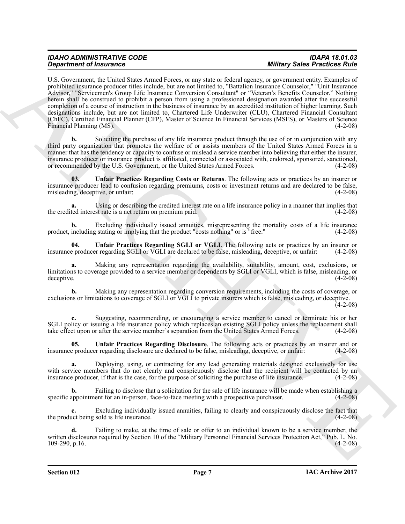### *Military Sales Practices Rule*

**Experiments of Finance probably because any principal interaction of the constraints of the constraints of the constraints of the constraints of the constraints of the constraints of the constraints of the constraints of** U.S. Government, the United States Armed Forces, or any state or federal agency, or government entity. Examples of prohibited insurance producer titles include, but are not limited to, "Battalion Insurance Counselor," "Unit Insurance Advisor," "Servicemen's Group Life Insurance Conversion Consultant" or "Veteran's Benefits Counselor." Nothing herein shall be construed to prohibit a person from using a professional designation awarded after the successful completion of a course of instruction in the business of insurance by an accredited institution of higher learning. Such designations include, but are not limited to, Chartered Life Underwriter (CLU), Chartered Financial Consultant (ChFC), Certified Financial Planner (CFP), Master of Science In Financial Services (MSFS), or Masters of Science Financial Planning (MS). (4-2-08)

**b.** Soliciting the purchase of any life insurance product through the use of or in conjunction with any third party organization that promotes the welfare of or assists members of the United States Armed Forces in a manner that has the tendency or capacity to confuse or mislead a service member into believing that either the insurer, insurance producer or insurance product is affiliated, connected or associated with, endorsed, sponsored, sanctioned, or recommended by the U.S. Government, or the United States Armed Forces.

<span id="page-6-0"></span>**03. Unfair Practices Regarding Costs or Returns**. The following acts or practices by an insurer or insurance producer lead to confusion regarding premiums, costs or investment returns and are declared to be false, misleading, deceptive, or unfair:  $(4-2-08)$ misleading, deceptive, or unfair:

**a.** Using or describing the credited interest rate on a life insurance policy in a manner that implies that the credited interest rate is a net return on premium paid. (4-2-08)

Excluding individually issued annuities, misrepresenting the mortality costs of a life insurance stating or implying that the product "costs nothing" or is "free." (4-2-08) product, including stating or implying that the product "costs nothing" or is "free."

<span id="page-6-2"></span>**04. Unfair Practices Regarding SGLI or VGLI**. The following acts or practices by an insurer or producer regarding SGLI or VGLI are declared to be false, misleading, deceptive, or unfair: (4-2-08) insurance producer regarding SGLI or VGLI are declared to be false, misleading, deceptive, or unfair:

**a.** Making any representation regarding the availability, suitability, amount, cost, exclusions, or limitations to coverage provided to a service member or dependents by SGLI or VGLI, which is false, misleading, or deceptive. (4-2-08) deceptive. (4-2-08)

**b.** Making any representation regarding conversion requirements, including the costs of coverage, or exclusions or limitations to coverage of SGLI or VGLI to private insurers which is false, misleading, or deceptive.  $(4-2-08)$ 

Suggesting, recommending, or encouraging a service member to cancel or terminate his or her SGLI policy or issuing a life insurance policy which replaces an existing SGLI policy unless the replacement shall take effect upon or after the service member's separation from the United States Armed Forces. (4-2-08)

<span id="page-6-1"></span>**05. Unfair Practices Regarding Disclosure**. The following acts or practices by an insurer and or insurance producer regarding disclosure are declared to be false, misleading, deceptive, or unfair: (4-2-08)

**a.** Deploying, using, or contracting for any lead generating materials designed exclusively for use with service members that do not clearly and conspicuously disclose that the recipient will be contacted by an insurance producer, if that is the case, for the purpose of soliciting the purchase of life insurance. (4-2-08) insurance producer, if that is the case, for the purpose of soliciting the purchase of life insurance.

**b.** Failing to disclose that a solicitation for the sale of life insurance will be made when establishing a specific appointment for an in-person, face-to-face meeting with a prospective purchaser. (4-2-08)

**c.** Excluding individually issued annuities, failing to clearly and conspicuously disclose the fact that the product being sold is life insurance. (4-2-08)

**d.** Failing to make, at the time of sale or offer to an individual known to be a service member, the written disclosures required by Section 10 of the "Military Personnel Financial Services Protection Act," Pub. L. No.<br>(4-2-08) p.16. 109-290, p.16.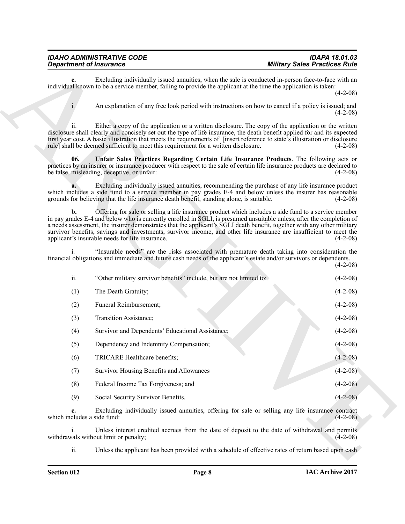<span id="page-7-0"></span>

| <b>IDAHO ADMINISTRATIVE CODE</b> |  |
|----------------------------------|--|
| <b>Department of Insurance</b>   |  |

| <b>Department of Insurance</b>    |                                                                                                                 | <b>Military Sales Practices Rule</b>                                                                                                                                                                                                                                                                                                                                                                                                                                                        |  |
|-----------------------------------|-----------------------------------------------------------------------------------------------------------------|---------------------------------------------------------------------------------------------------------------------------------------------------------------------------------------------------------------------------------------------------------------------------------------------------------------------------------------------------------------------------------------------------------------------------------------------------------------------------------------------|--|
| е.                                | individual known to be a service member, failing to provide the applicant at the time the application is taken: | Excluding individually issued annuities, when the sale is conducted in-person face-to-face with an<br>$(4-2-08)$                                                                                                                                                                                                                                                                                                                                                                            |  |
|                                   |                                                                                                                 | An explanation of any free look period with instructions on how to cancel if a policy is issued; and<br>$(4-2-08)$                                                                                                                                                                                                                                                                                                                                                                          |  |
| 11.                               | rule] shall be deemed sufficient to meet this requirement for a written disclosure.                             | Either a copy of the application or a written disclosure. The copy of the application or the written<br>disclosure shall clearly and concisely set out the type of life insurance, the death benefit applied for and its expected<br>first year cost. A basic illustration that meets the requirements of [insert reference to state's illustration or disclosure<br>$(4-2-08)$                                                                                                             |  |
| 06.                               | be false, misleading, deceptive, or unfair:                                                                     | Unfair Sales Practices Regarding Certain Life Insurance Products. The following acts or<br>practices by an insurer or insurance producer with respect to the sale of certain life insurance products are declared to<br>$(4-2-08)$                                                                                                                                                                                                                                                          |  |
|                                   | grounds for believing that the life insurance death benefit, standing alone, is suitable.                       | Excluding individually issued annuities, recommending the purchase of any life insurance product<br>which includes a side fund to a service member in pay grades E-4 and below unless the insurer has reasonable<br>$(4-2-08)$                                                                                                                                                                                                                                                              |  |
| b.                                | applicant's insurable needs for life insurance.                                                                 | Offering for sale or selling a life insurance product which includes a side fund to a service member<br>in pay grades E-4 and below who is currently enrolled in SGLI, is presumed unsuitable unless, after the completion of<br>a needs assessment, the insurer demonstrates that the applicant's SGLI death benefit, together with any other military<br>survivor benefits, savings and investments, survivor income, and other life insurance are insufficient to meet the<br>$(4-2-08)$ |  |
|                                   |                                                                                                                 | "Insurable needs" are the risks associated with premature death taking into consideration the<br>financial obligations and immediate and future cash needs of the applicant's estate and/or survivors or dependents.<br>$(4-2-08)$                                                                                                                                                                                                                                                          |  |
| ii.                               | "Other military survivor benefits" include, but are not limited to:                                             | $(4-2-08)$                                                                                                                                                                                                                                                                                                                                                                                                                                                                                  |  |
| (1)                               | The Death Gratuity;                                                                                             | $(4-2-08)$                                                                                                                                                                                                                                                                                                                                                                                                                                                                                  |  |
| (2)                               | Funeral Reimbursement;                                                                                          | $(4-2-08)$                                                                                                                                                                                                                                                                                                                                                                                                                                                                                  |  |
| (3)                               | Transition Assistance;                                                                                          | $(4-2-08)$                                                                                                                                                                                                                                                                                                                                                                                                                                                                                  |  |
| (4)                               | Survivor and Dependents' Educational Assistance;                                                                | $(4-2-08)$                                                                                                                                                                                                                                                                                                                                                                                                                                                                                  |  |
| (5)                               | Dependency and Indemnity Compensation;                                                                          | $(4-2-08)$                                                                                                                                                                                                                                                                                                                                                                                                                                                                                  |  |
| (6)                               | TRICARE Healthcare benefits;                                                                                    | $(4-2-08)$                                                                                                                                                                                                                                                                                                                                                                                                                                                                                  |  |
| (7)                               | Survivor Housing Benefits and Allowances                                                                        | $(4-2-08)$                                                                                                                                                                                                                                                                                                                                                                                                                                                                                  |  |
| (8)                               | Federal Income Tax Forgiveness; and                                                                             | $(4-2-08)$                                                                                                                                                                                                                                                                                                                                                                                                                                                                                  |  |
| (9)                               | Social Security Survivor Benefits.                                                                              | $(4-2-08)$                                                                                                                                                                                                                                                                                                                                                                                                                                                                                  |  |
| c.<br>which includes a side fund: |                                                                                                                 | Excluding individually issued annuities, offering for sale or selling any life insurance contract<br>$(4-2-08)$                                                                                                                                                                                                                                                                                                                                                                             |  |
| $\mathbf{1}$ .                    | withdrawals without limit or penalty;                                                                           | Unless interest credited accrues from the date of deposit to the date of withdrawal and permits<br>$(4-2-08)$                                                                                                                                                                                                                                                                                                                                                                               |  |
|                                   |                                                                                                                 | Unless the applicant has been provided with a schedule of effective rates of return based upon cash                                                                                                                                                                                                                                                                                                                                                                                         |  |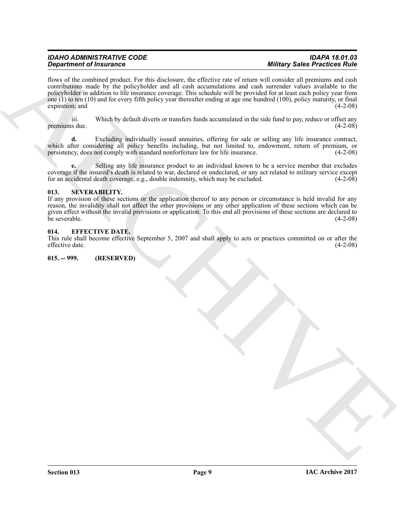**Singularize of Francesco Control and Science (see Colline, the Science of Matter Science River Colline Colline Colline (see Colline Colline Colline Colline Colline Colline Colline Colline Colline Colline Colline Colline** flows of the combined product. For this disclosure, the effective rate of return will consider all premiums and cash contributions made by the policyholder and all cash accumulations and cash surrender values available to the policyholder in addition to life insurance coverage. This schedule will be provided for at least each policy year from one (1) to ten (10) and for every fifth policy year thereafter ending at age one hundred (100), policy maturity, or final expiration; and (4-2-08) expiration; and (4-2-08)

iii. Which by default diverts or transfers funds accumulated in the side fund to pay, reduce or offset any premiums due.

**d.** Excluding individually issued annuities, offering for sale or selling any life insurance contract, which after considering all policy benefits including, but not limited to, endowment, return of premium, or persistency, does not comply with standard nonforfeiture law for life insurance. (4-2-08) persistency, does not comply with standard nonforfeiture law for life insurance.

**e.** Selling any life insurance product to an individual known to be a service member that excludes coverage if the insured's death is related to war, declared or undeclared, or any act related to military service except for an accidental death coverage, e.g., double indemnity, which may be excluded.  $(4-2-08)$ 

### <span id="page-8-0"></span>**013. SEVERABILITY.**

If any provision of these sections or the application thereof to any person or circumstance is held invalid for any reason, the invalidity shall not affect the other provisions or any other application of these sections which can be given effect without the invalid provisions or application. To this end all provisions of these sections are declared to be severable. (4-2-08) be severable.  $(4-2-08)$ 

### <span id="page-8-1"></span>**014. EFFECTIVE DATE.**

This rule shall become effective September 5, 2007 and shall apply to acts or practices committed on or after the effective date.

### <span id="page-8-2"></span>**015. -- 999. (RESERVED)**